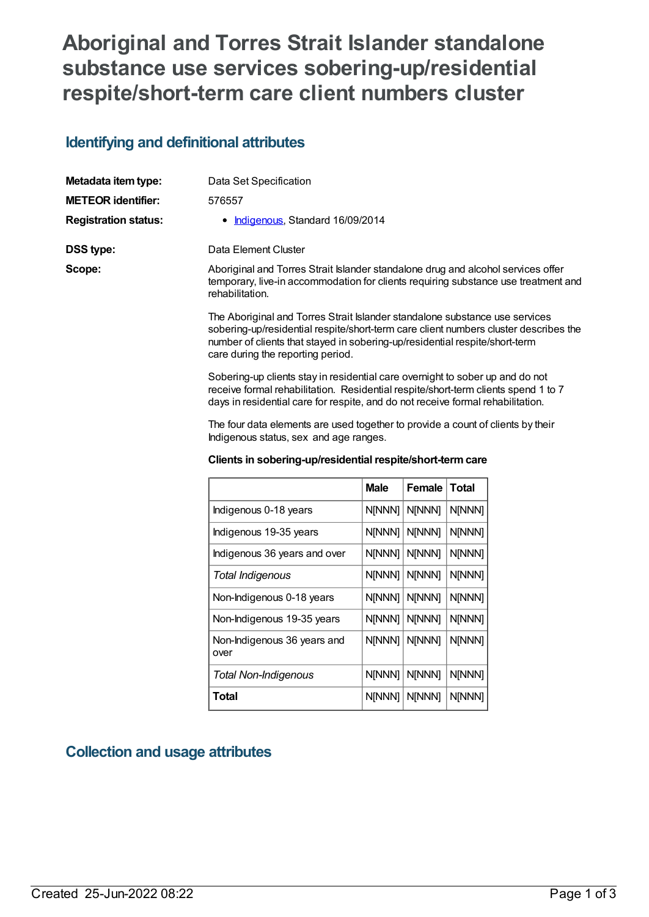# **Aboriginal and Torres Strait Islander standalone substance use services sobering-up/residential respite/short-term care client numbers cluster**

## **Identifying and definitional attributes**

| Metadata item type:         | Data Set Specification                                                                                                                                                                                                                                                                  |
|-----------------------------|-----------------------------------------------------------------------------------------------------------------------------------------------------------------------------------------------------------------------------------------------------------------------------------------|
| <b>METEOR identifier:</b>   | 576557                                                                                                                                                                                                                                                                                  |
| <b>Registration status:</b> | • Indigenous, Standard 16/09/2014                                                                                                                                                                                                                                                       |
| <b>DSS type:</b>            | Data Element Cluster                                                                                                                                                                                                                                                                    |
| Scope:                      | Aboriginal and Torres Strait Islander standalone drug and alcohol services offer<br>temporary, live-in accommodation for clients requiring substance use treatment and<br>rehabilitation.                                                                                               |
|                             | The Aboriginal and Torres Strait Islander standalone substance use services<br>sobering-up/residential respite/short-term care client numbers cluster describes the<br>number of clients that stayed in sobering-up/residential respite/short-term<br>care during the reporting period. |
|                             | Sobering-up clients stay in residential care overnight to sober up and do not<br>receive formal rehabilitation. Residential respite/short-term clients spend 1 to 7<br>days in residential care for respite, and do not receive formal rehabilitation.                                  |

The four data elements are used together to provide a count of clients by their Indigenous status, sex and age ranges.

#### **Clients in sobering-up/residential respite/short-termcare**

|                                     | <b>Male</b> | Female | Total  |
|-------------------------------------|-------------|--------|--------|
| Indigenous 0-18 years               | N[NNN]      | N[NNN] | N[NNN] |
| Indigenous 19-35 years              | N[NNN]      | N[NNN] | N[NNN] |
| Indigenous 36 years and over        | N[NNN]      | N[NNN] | N[NNN] |
| Total Indigenous                    | N[NNN]      | N[NNN] | N[NNN] |
| Non-Indigenous 0-18 years           | N[NNN]      | N[NNN] | N[NNN] |
| Non-Indigenous 19-35 years          | N[NNN]      | N[NNN] | N[NNN] |
| Non-Indigenous 36 years and<br>over | N[NNN]      | N[NNN] | N[NNN] |
| <b>Total Non-Indigenous</b>         | N[NNN]      | N[NNN] | N[NNN] |
| Total                               | N[NNN]      | N[NNN] | N[NNN] |

# **Collection and usage attributes**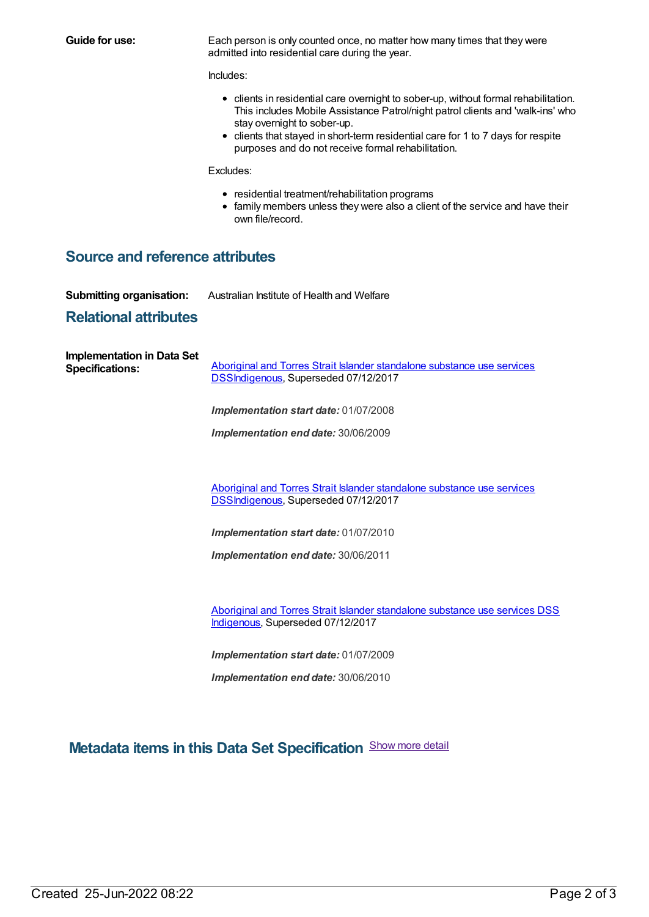**Guide for use:** Each person is only counted once, no matter how many times that they were admitted into residential care during the year.

Includes:

- clients in residential care overnight to sober-up, without formal rehabilitation. This includes Mobile Assistance Patrol/night patrol clients and 'walk-ins' who stay overnight to sober-up.
- clients that stayed in short-term residential care for 1 to 7 days for respite purposes and do not receive formal rehabilitation.

Excludes:

- residential treatment/rehabilitation programs
- family members unless they were also a client of the service and have their own file/record.

### **Source and reference attributes**

**Submitting organisation:** Australian Institute of Health and Welfare

#### **Relational attributes**

| <b>Implementation in Data Set</b><br><b>Specifications:</b> | Aboriginal and Torres Strait Islander standalone substance use services<br>DSSIndigenous, Superseded 07/12/2017 |  |  |
|-------------------------------------------------------------|-----------------------------------------------------------------------------------------------------------------|--|--|
|                                                             | <b>Implementation start date: 01/07/2008</b>                                                                    |  |  |
|                                                             | <b>Implementation end date: 30/06/2009</b>                                                                      |  |  |
|                                                             |                                                                                                                 |  |  |
|                                                             | Aboriginal and Torres Strait Islander standalone substance use services<br>DSSIndigenous, Superseded 07/12/2017 |  |  |
|                                                             | <b>Implementation start date: 01/07/2010</b>                                                                    |  |  |

*Implementation end date:* 30/06/2011

Aboriginal and Torres Strait Islander [standalone](https://meteor.aihw.gov.au/content/664861) substance use services DSS [Indigenous](https://meteor.aihw.gov.au/RegistrationAuthority/6), Superseded 07/12/2017

*Implementation start date:* 01/07/2009

*Implementation end date:* 30/06/2010

**Metadata items in this Data Set Specification** Show more detail